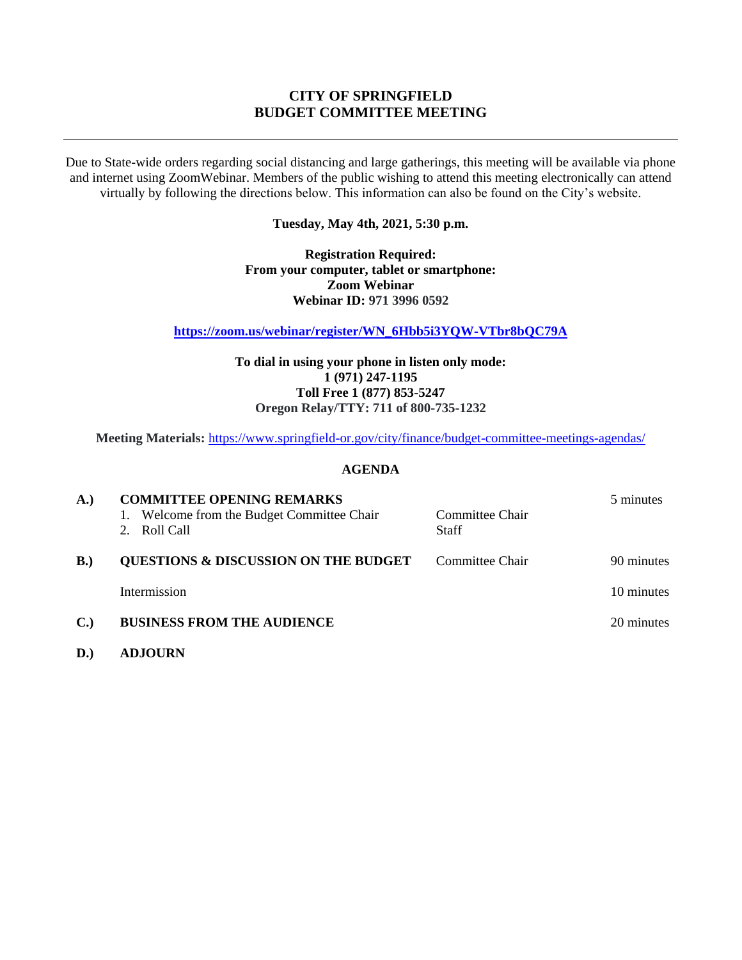# **CITY OF SPRINGFIELD BUDGET COMMITTEE MEETING**

Due to State-wide orders regarding social distancing and large gatherings, this meeting will be available via phone and internet using ZoomWebinar. Members of the public wishing to attend this meeting electronically can attend virtually by following the directions below. This information can also be found on the City's website.

**Tuesday, May 4th, 2021, 5:30 p.m.**

**Registration Required: From your computer, tablet or smartphone: Zoom Webinar Webinar ID: 971 3996 0592**

**[https://zoom.us/webinar/register/WN\\_6Hbb5i3YQW-VTbr8bQC79A](https://zoom.us/webinar/register/WN_6Hbb5i3YQW-VTbr8bQC79A)**

**To dial in using your phone in listen only mode: 1 (971) 247-1195 Toll Free 1 (877) 853-5247 Oregon Relay/TTY: 711 of 800-735-1232**

**Meeting Materials:** <https://www.springfield-or.gov/city/finance/budget-committee-meetings-agendas/>

## **AGENDA**

| <b>A.</b> )   | <b>COMMITTEE OPENING REMARKS</b><br>Welcome from the Budget Committee Chair<br>1.<br>2. Roll Call | Committee Chair<br><b>Staff</b> | 5 minutes  |
|---------------|---------------------------------------------------------------------------------------------------|---------------------------------|------------|
| $\bf{B.}$     | <b>QUESTIONS &amp; DISCUSSION ON THE BUDGET</b>                                                   | Committee Chair                 | 90 minutes |
|               | Intermission                                                                                      |                                 | 10 minutes |
| $C_{\bullet}$ | <b>BUSINESS FROM THE AUDIENCE</b>                                                                 |                                 | 20 minutes |
|               |                                                                                                   |                                 |            |

**D.) ADJOURN**